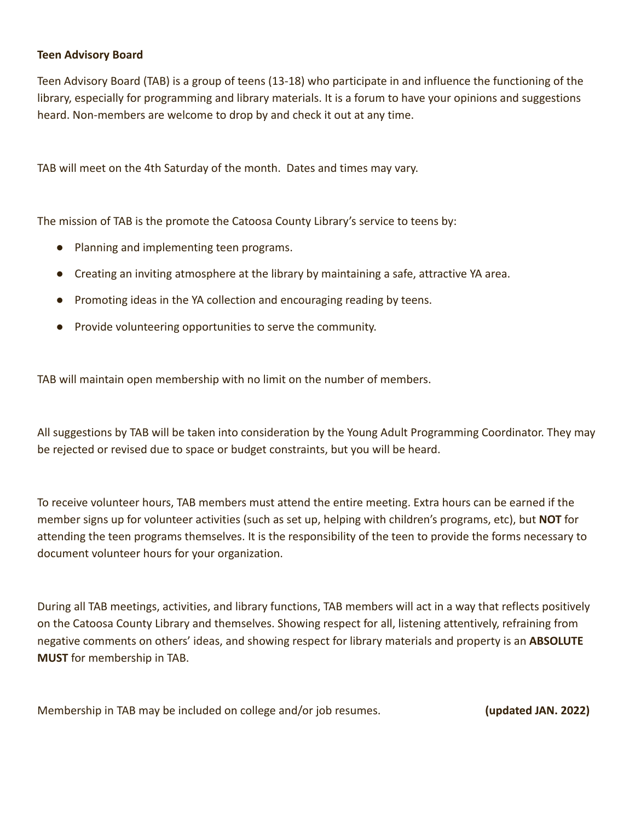#### **Teen Advisory Board**

Teen Advisory Board (TAB) is a group of teens (13-18) who participate in and influence the functioning of the library, especially for programming and library materials. It is a forum to have your opinions and suggestions heard. Non-members are welcome to drop by and check it out at any time.

TAB will meet on the 4th Saturday of the month. Dates and times may vary.

The mission of TAB is the promote the Catoosa County Library's service to teens by:

- Planning and implementing teen programs.
- Creating an inviting atmosphere at the library by maintaining a safe, attractive YA area.
- Promoting ideas in the YA collection and encouraging reading by teens.
- Provide volunteering opportunities to serve the community.

TAB will maintain open membership with no limit on the number of members.

All suggestions by TAB will be taken into consideration by the Young Adult Programming Coordinator. They may be rejected or revised due to space or budget constraints, but you will be heard.

To receive volunteer hours, TAB members must attend the entire meeting. Extra hours can be earned if the member signs up for volunteer activities (such as set up, helping with children's programs, etc), but **NOT** for attending the teen programs themselves. It is the responsibility of the teen to provide the forms necessary to document volunteer hours for your organization.

During all TAB meetings, activities, and library functions, TAB members will act in a way that reflects positively on the Catoosa County Library and themselves. Showing respect for all, listening attentively, refraining from negative comments on others' ideas, and showing respect for library materials and property is an **ABSOLUTE MUST** for membership in TAB.

Membership in TAB may be included on college and/or job resumes. **(updated JAN. 2022)**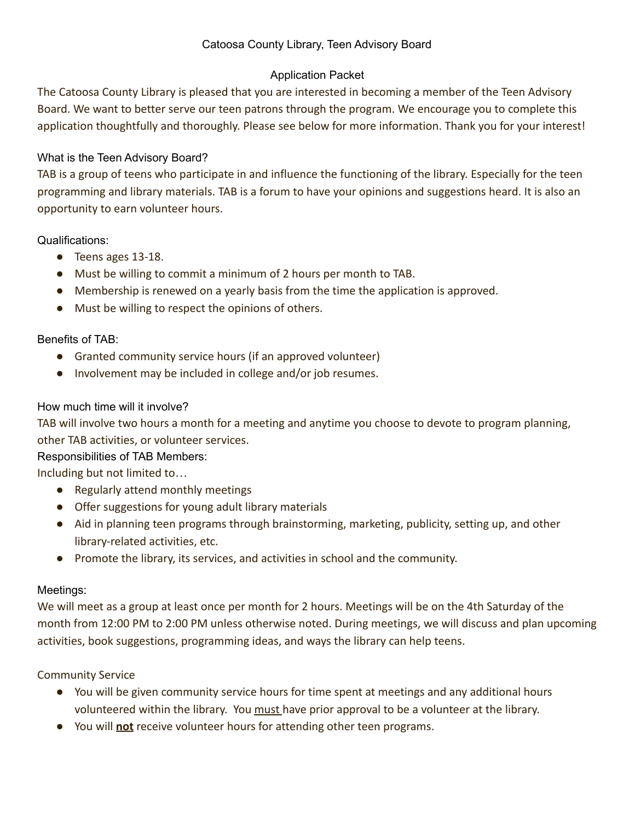# Catoosa County Library, Teen Advisory Board

# Application Packet

The Catoosa County Library is pleased that you are interested in becoming a member of the Teen Advisory Board. We want to better serve our teen patrons through the program. We encourage you to complete this application thoughtfully and thoroughly. Please see below for more information. Thank you for your interest!

# What is the Teen Advisory Board?

TAB is a group of teens who participate in and influence the functioning of the library. Especially for the teen programming and library materials. TAB is a forum to have your opinions and suggestions heard. It is also an opportunity to earn volunteer hours.

### Qualifications:

- Teens ages 13-18.
- Must be willing to commit a minimum of 2 hours per month to TAB.
- Membership is renewed on a yearly basis from the time the application is approved.
- Must be willing to respect the opinions of others.

# Benefits of TAB:

- Granted community service hours (if an approved volunteer)
- Involvement may be included in college and/or job resumes.

### How much time will it involve?

TAB will involve two hours a month for a meeting and anytime you choose to devote to program planning, other TAB activities, or volunteer services.

### Responsibilities of TAB Members:

Including but not limited to…

- Regularly attend monthly meetings
- Offer suggestions for young adult library materials
- Aid in planning teen programs through brainstorming, marketing, publicity, setting up, and other library-related activities, etc.
- Promote the library, its services, and activities in school and the community.

### Meetings:

We will meet as a group at least once per month for 2 hours. Meetings will be on the 4th Saturday of the month from 12:00 PM to 2:00 PM unless otherwise noted. During meetings, we will discuss and plan upcoming activities, book suggestions, programming ideas, and ways the library can help teens.

### Community Service

- You will be given community service hours for time spent at meetings and any additional hours volunteered within the library. You must have prior approval to be a volunteer at the library.
- You will **not** receive volunteer hours for attending other teen programs.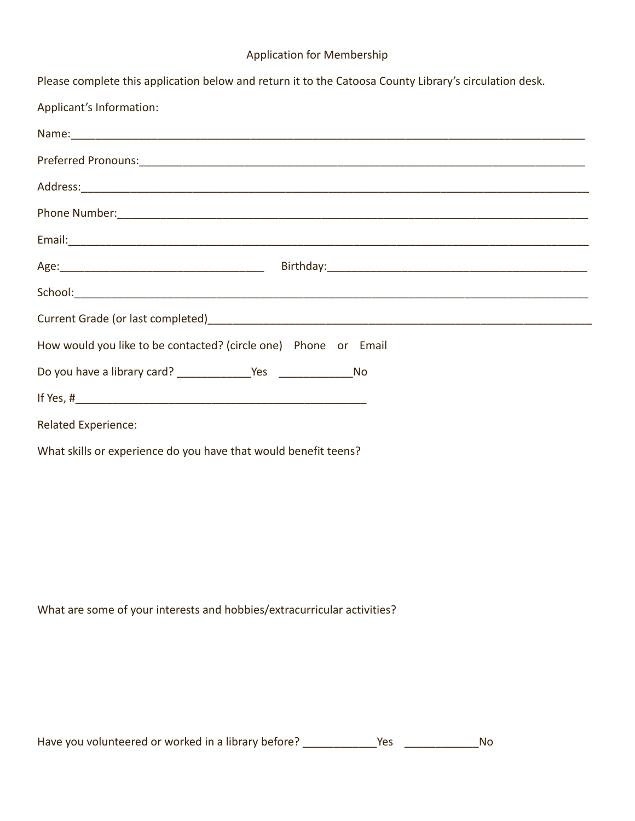# Application for Membership

| Please complete this application below and return it to the Catoosa County Library's circulation desk.                                                                                                                        |
|-------------------------------------------------------------------------------------------------------------------------------------------------------------------------------------------------------------------------------|
| Applicant's Information:                                                                                                                                                                                                      |
| Name: Name: Name: Name: Name: Name: Name: Name: Name: Name: Name: Name: Name: Name: Name: Name: Name: Name: Name: Name: Name: Name: Name: Name: Name: Name: Name: Name: Name: Name: Name: Name: Name: Name: Name: Name: Name: |
|                                                                                                                                                                                                                               |
|                                                                                                                                                                                                                               |
|                                                                                                                                                                                                                               |
|                                                                                                                                                                                                                               |
|                                                                                                                                                                                                                               |
|                                                                                                                                                                                                                               |
|                                                                                                                                                                                                                               |
| How would you like to be contacted? (circle one) Phone or Email                                                                                                                                                               |
|                                                                                                                                                                                                                               |
|                                                                                                                                                                                                                               |
| <b>Related Experience:</b>                                                                                                                                                                                                    |
| What skills or experience do you have that would benefit teens?                                                                                                                                                               |

What are some of your interests and hobbies/extracurricular activities?

Have you volunteered or worked in a library before? \_\_\_\_\_\_\_\_\_\_\_\_\_Yes \_\_\_\_\_\_\_\_\_\_\_\_\_\_\_\_\_No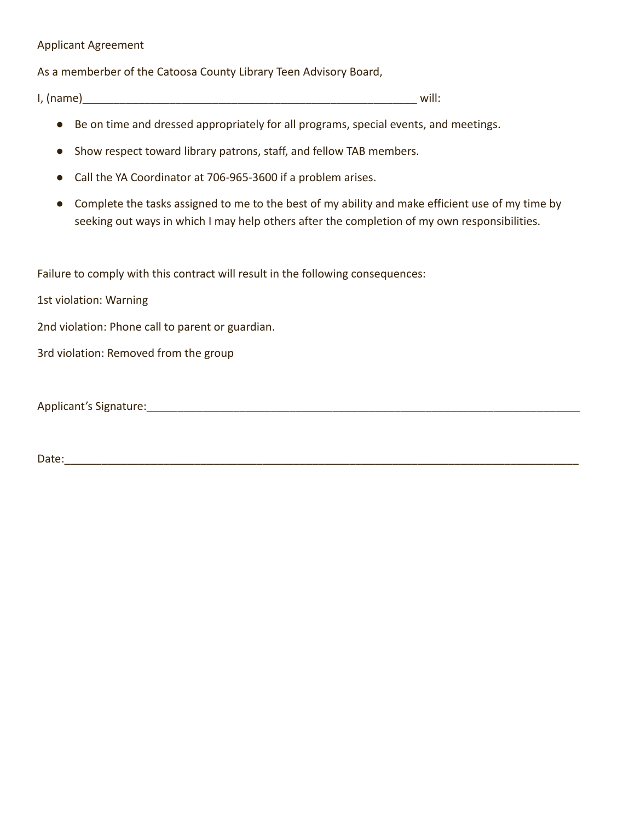#### Applicant Agreement

As a memberber of the Catoosa County Library Teen Advisory Board,

 $I, (name)$ 

- Be on time and dressed appropriately for all programs, special events, and meetings.
- Show respect toward library patrons, staff, and fellow TAB members.
- Call the YA Coordinator at 706-965-3600 if a problem arises.
- Complete the tasks assigned to me to the best of my ability and make efficient use of my time by seeking out ways in which I may help others after the completion of my own responsibilities.

Failure to comply with this contract will result in the following consequences:

1st violation: Warning

2nd violation: Phone call to parent or guardian.

3rd violation: Removed from the group

Applicant's Signature: <u>Lateral and the set of the set of the set of the set of the set of the set of the set of the set of the set of the set of the set of the set of the set of the set of the set of the set of the set of</u>

Date:\_\_\_\_\_\_\_\_\_\_\_\_\_\_\_\_\_\_\_\_\_\_\_\_\_\_\_\_\_\_\_\_\_\_\_\_\_\_\_\_\_\_\_\_\_\_\_\_\_\_\_\_\_\_\_\_\_\_\_\_\_\_\_\_\_\_\_\_\_\_\_\_\_\_\_\_\_\_\_\_\_\_\_